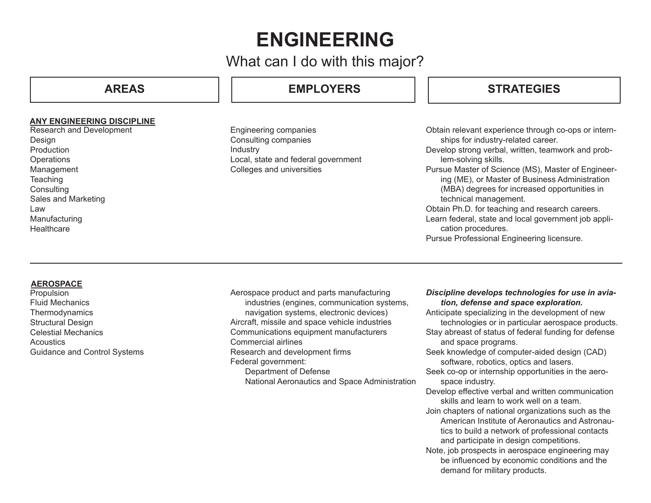# **ENGINEERING**

## What can I do with this major?

## **AREAS**

### **ANY ENGINEERING DISCIPLINE**

Research and Development Design **Production Operations** Management **Teaching Consulting** Sales and Marketing Law Manufacturing **Healthcare** 

## **EMPLOYERS**

Engineering companies Consulting companies Industry Local, state and federal government Colleges and universities

## **STRATEGIES**

- Obtain relevant experience through co-ops or internships for industry-related career.
- Develop strong verbal, written, teamwork and problem-solving skills.
- Pursue Master of Science (MS), Master of Engineering (ME), or Master of Business Administration (MBA) degrees for increased opportunities in technical management.
- Obtain Ph.D. for teaching and research careers.
- Learn federal, state and local government job application procedures.
- Pursue Professional Engineering licensure.

### **AEROSPACE**

Propulsion Fluid Mechanics **Thermodynamics** Structural Design Celestial Mechanics **Acoustics** Guidance and Control Systems Aerospace product and parts manufacturing industries (engines, communication systems, navigation systems, electronic devices) Aircraft, missile and space vehicle industries Communications equipment manufacturers Commercial airlines Research and development firms Federal government: Department of Defense National Aeronautics and Space Administration

#### *Discipline develops technologies for use in aviation, defense and space exploration.*

Anticipate specializing in the development of new technologies or in particular aerospace products. Stay abreast of status of federal funding for defense and space programs. Seek knowledge of computer-aided design (CAD) software, robotics, optics and lasers. Seek co-op or internship opportunities in the aerospace industry. Develop effective verbal and written communication skills and learn to work well on a team. Join chapters of national organizations such as the American Institute of Aeronautics and Astronautics to build a network of professional contacts and participate in design competitions. Note, job prospects in aerospace engineering may be influenced by economic conditions and the demand for military products.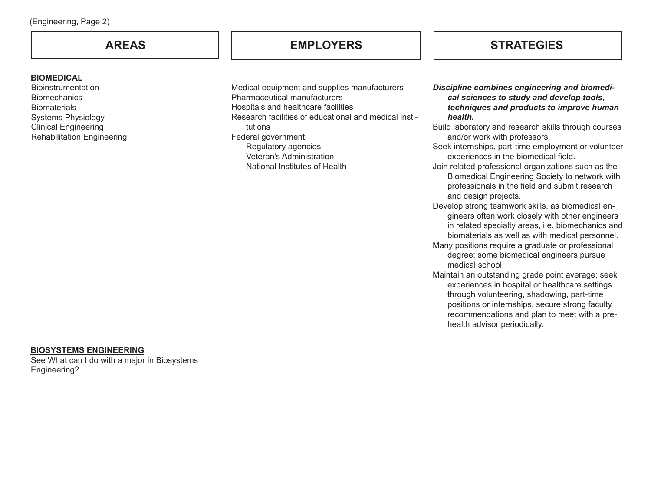#### **BIOMEDICAL**

**Bioinstrumentation Biomechanics Biomaterials** Systems Physiology Clinical Engineering Rehabilitation Engineering

Medical equipment and supplies manufacturers Pharmaceutical manufacturers Hospitals and healthcare facilities Research facilities of educational and medical institutions Federal government: Regulatory agencies Veteran's Administration National Institutes of Health

## **AREAS EMPLOYERS STRATEGIES**

*Discipline combines engineering and biomedical sciences to study and develop tools, techniques and products to improve human health.*

Build laboratory and research skills through courses and/or work with professors.

Seek internships, part-time employment or volunteer experiences in the biomedical field.

- Join related professional organizations such as the Biomedical Engineering Society to network with professionals in the field and submit research and design projects.
- Develop strong teamwork skills, as biomedical engineers often work closely with other engineers in related specialty areas, i.e. biomechanics and biomaterials as well as with medical personnel.
- Many positions require a graduate or professional degree; some biomedical engineers pursue medical school.
- Maintain an outstanding grade point average; seek experiences in hospital or healthcare settings through volunteering, shadowing, part-time positions or internships, secure strong faculty recommendations and plan to meet with a prehealth advisor periodically.

#### **BIOSYSTEMS ENGINEERING**

See What can I do with a major in Biosystems Engineering?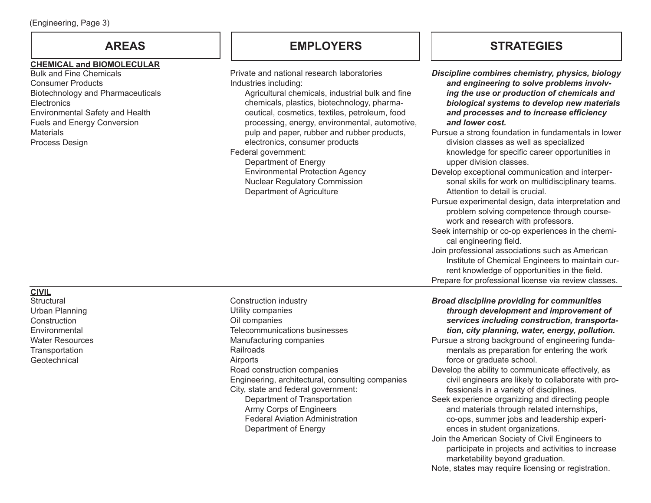### **CHEMICAL and BIOMOLECULAR**

Bulk and Fine Chemicals Consumer Products Biotechnology and Pharmaceuticals **Electronics** Environmental Safety and Health Fuels and Energy Conversion **Materials** Process Design

## **AREAS EMPLOYERS STRATEGIES**

| Private and national research laboratories<br>Industries including:<br>Agricultural chemicals, industrial bulk and fine<br>chemicals, plastics, biotechnology, pharma-<br>ceutical, cosmetics, textiles, petroleum, food<br>processing, energy, environmental, automotive,<br>pulp and paper, rubber and rubber products,<br>electronics, consumer products<br>Federal government:<br>Department of Energy<br><b>Environmental Protection Agency</b><br><b>Nuclear Regulatory Commission</b><br>Department of Agriculture | Discipline combines chemistry, physics, biology<br>and engineering to solve problems involv-<br>ing the use or production of chemicals and<br>biological systems to develop new materials<br>and processes and to increase efficiency<br>and lower cost.<br>Pursue a strong foundation in fundamentals in lower<br>division classes as well as specialized<br>knowledge for specific career opportunities in<br>upper division classes.<br>Develop exceptional communication and interper-<br>sonal skills for work on multidisciplinary teams.<br>Attention to detail is crucial.<br>Pursue experimental design, data interpretation and<br>problem solving competence through course-<br>work and research with professors.<br>Seek internship or co-op experiences in the chemi-<br>cal engineering field.<br>Join professional associations such as American<br>Institute of Chemical Engineers to maintain cur-<br>rent knowledge of opportunities in the field.<br>Prepare for professional license via review classes. |
|---------------------------------------------------------------------------------------------------------------------------------------------------------------------------------------------------------------------------------------------------------------------------------------------------------------------------------------------------------------------------------------------------------------------------------------------------------------------------------------------------------------------------|-------------------------------------------------------------------------------------------------------------------------------------------------------------------------------------------------------------------------------------------------------------------------------------------------------------------------------------------------------------------------------------------------------------------------------------------------------------------------------------------------------------------------------------------------------------------------------------------------------------------------------------------------------------------------------------------------------------------------------------------------------------------------------------------------------------------------------------------------------------------------------------------------------------------------------------------------------------------------------------------------------------------------------|
| Construction industry<br>Utility companies<br>Oil companies<br>Telecommunications businesses<br>Manufacturing companies<br>Railroads<br>Airports<br>Road construction companies<br>Engineering, architectural, consulting companies<br>City, state and federal government:<br>Department of Transportation<br>Army Corps of Engineers<br><b>Federal Aviation Administration</b><br>Department of Energy                                                                                                                   | <b>Broad discipline providing for communities</b><br>through development and improvement of<br>services including construction, transporta-<br>tion, city planning, water, energy, pollution.<br>Pursue a strong background of engineering funda-<br>mentals as preparation for entering the work<br>force or graduate school.<br>Develop the ability to communicate effectively, as<br>civil engineers are likely to collaborate with pro-<br>fessionals in a variety of disciplines.<br>Seek experience organizing and directing people<br>and materials through related internships,<br>co-ops, summer jobs and leadership experi-<br>ences in student organizations.<br>Join the American Society of Civil Engineers to                                                                                                                                                                                                                                                                                                   |

participate in projects and activities to increase

Note, states may require licensing or registration.

marketability beyond graduation.

**CIVIL Structural** 

Urban Planning **Construction Environmental** Water Resources **Transportation** Geotechnical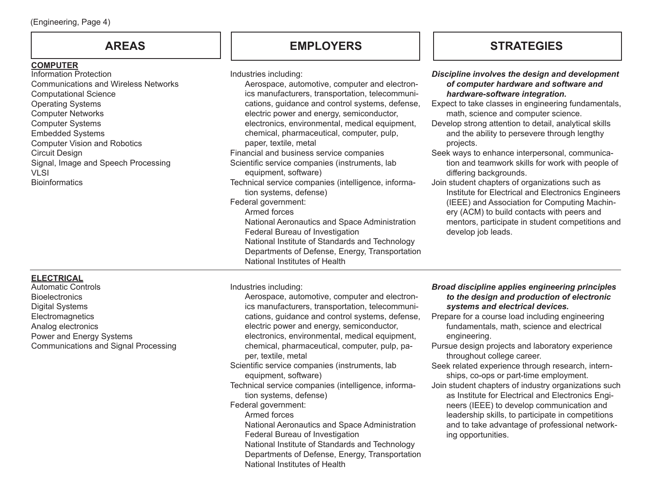### **COMPUTER**

Information Protection Communications and Wireless Networks Computational Science Operating Systems Computer Networks Computer Systems Embedded Systems Computer Vision and Robotics Circuit Design Signal, Image and Speech Processing  $VI$  $SI$ **Bioinformatics** 

## **AREAS EMPLOYERS STRATEGIES**

Departments of Defense, Energy, Transportation

National Institutes of Health

Industries including:

| Aerospace, automotive, computer and electron-<br>ics manufacturers, transportation, telecommuni-<br>cations, guidance and control systems, defense,<br>electric power and energy, semiconductor,<br>electronics, environmental, medical equipment,<br>chemical, pharmaceutical, computer, pulp,<br>paper, textile, metal<br>Financial and business service companies<br>Scientific service companies (instruments, lab<br>equipment, software)<br>Technical service companies (intelligence, informa-<br>tion systems, defense)<br>Federal government:<br>Armed forces<br>National Aeronautics and Space Administration<br>Federal Bureau of Investigation<br>National Institute of Standards and Technology<br>Departments of Defense, Energy, Transportation<br>National Institutes of Health | of computer hardware and software and<br>hardware-software integration.<br>Expect to take classes in engineering fundamentals,<br>math, science and computer science.<br>Develop strong attention to detail, analytical skills<br>and the ability to persevere through lengthy<br>projects.<br>Seek ways to enhance interpersonal, communica-<br>tion and teamwork skills for work with people of<br>differing backgrounds.<br>Join student chapters of organizations such as<br>Institute for Electrical and Electronics Engineers<br>(IEEE) and Association for Computing Machin-<br>ery (ACM) to build contacts with peers and<br>mentors, participate in student competitions and<br>develop job leads.                      |
|-------------------------------------------------------------------------------------------------------------------------------------------------------------------------------------------------------------------------------------------------------------------------------------------------------------------------------------------------------------------------------------------------------------------------------------------------------------------------------------------------------------------------------------------------------------------------------------------------------------------------------------------------------------------------------------------------------------------------------------------------------------------------------------------------|----------------------------------------------------------------------------------------------------------------------------------------------------------------------------------------------------------------------------------------------------------------------------------------------------------------------------------------------------------------------------------------------------------------------------------------------------------------------------------------------------------------------------------------------------------------------------------------------------------------------------------------------------------------------------------------------------------------------------------|
| Industries including:<br>Aerospace, automotive, computer and electron-<br>ics manufacturers, transportation, telecommuni-<br>cations, guidance and control systems, defense,<br>electric power and energy, semiconductor,<br>electronics, environmental, medical equipment,<br>chemical, pharmaceutical, computer, pulp, pa-<br>per, textile, metal<br>Scientific service companies (instruments, lab<br>equipment, software)<br>Technical service companies (intelligence, informa-<br>tion systems, defense)<br>Federal government:<br>Armed forces<br>National Aeronautics and Space Administration<br>Federal Bureau of Investigation<br>National Institute of Standards and Technology                                                                                                     | <b>Broad discipline applies engineering principles</b><br>to the design and production of electronic<br>systems and electrical devices.<br>Prepare for a course load including engineering<br>fundamentals, math, science and electrical<br>engineering.<br>Pursue design projects and laboratory experience<br>throughout college career.<br>Seek related experience through research, intern-<br>ships, co-ops or part-time employment.<br>Join student chapters of industry organizations such<br>as Institute for Electrical and Electronics Engi-<br>neers (IEEE) to develop communication and<br>leadership skills, to participate in competitions<br>and to take advantage of professional network-<br>ing opportunities. |

*Discipline involves the design and development* 

### **ELECTRICAL**

Automatic Controls **Bioelectronics** Digital Systems **Electromagnetics** Analog electronics Power and Energy Systems Communications and Signal Processing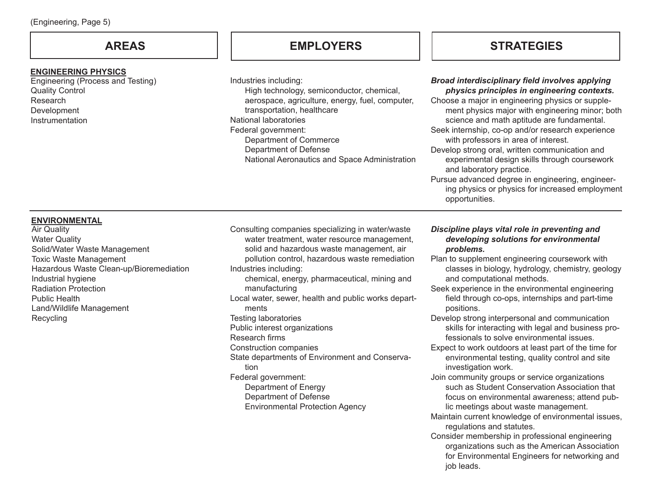#### **ENGINEERING PHYSICS**

Engineering (Process and Testing) Quality Control Research Development **Instrumentation** 

**AREAS EMPLOYERS STRATEGIES**

Industries including: High technology, semiconductor, chemical, aerospace, agriculture, energy, fuel, computer, transportation, healthcare National laboratories Federal government: Department of Commerce Department of Defense National Aeronautics and Space Administration Consulting companies specializing in water/waste water treatment, water resource management, solid and hazardous waste management, air pollution control, hazardous waste remediation Industries including: chemical, energy, pharmaceutical, mining and manufacturing Local water, sewer, health and public works departments Testing laboratories Public interest organizations Research firms Construction companies State departments of Environment and Conservation Federal government: Department of Energy

Department of Defense

Environmental Protection Agency

#### *Broad interdisciplinary field involves applying physics principles in engineering contexts.*

Choose a major in engineering physics or supplement physics major with engineering minor; both science and math aptitude are fundamental.

- Seek internship, co-op and/or research experience with professors in area of interest.
- Develop strong oral, written communication and experimental design skills through coursework and laboratory practice.

Pursue advanced degree in engineering, engineering physics or physics for increased employment opportunities.

### **ENVIRONMENTAL**

Air Quality Water Quality Solid/Water Waste Management Toxic Waste Management Hazardous Waste Clean-up/Bioremediation Industrial hygiene Radiation Protection Public Health Land/Wildlife Management Recycling

*Discipline plays vital role in preventing and developing solutions for environmental problems.*

- Plan to supplement engineering coursework with classes in biology, hydrology, chemistry, geology and computational methods.
- Seek experience in the environmental engineering field through co-ops, internships and part-time positions.
- Develop strong interpersonal and communication skills for interacting with legal and business professionals to solve environmental issues.
- Expect to work outdoors at least part of the time for environmental testing, quality control and site investigation work.
- Join community groups or service organizations such as Student Conservation Association that focus on environmental awareness; attend public meetings about waste management.
- Maintain current knowledge of environmental issues, regulations and statutes.
- Consider membership in professional engineering organizations such as the American Association for Environmental Engineers for networking and job leads.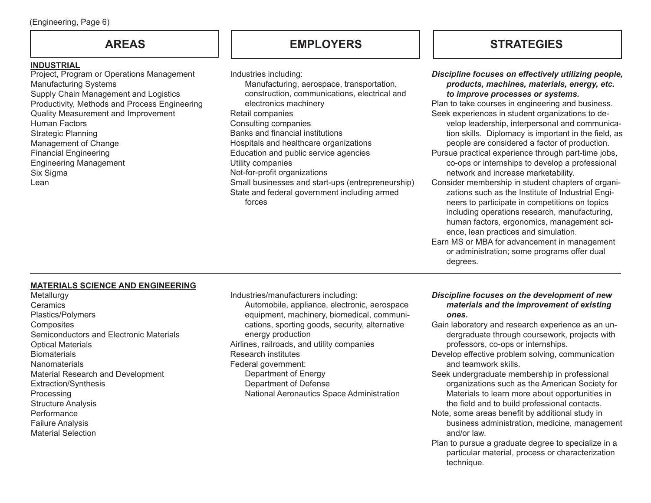### **INDUSTRIAL**

Project, Program or Operations Management Manufacturing Systems Supply Chain Management and Logistics Productivity, Methods and Process Engineering Quality Measurement and Improvement Human Factors Strategic Planning Management of Change Financial Engineering Engineering Management Six Sigma Lean

Industries including: Manufacturing, aerospace, transportation, construction, communications, electrical and electronics machinery Retail companies Consulting companies Banks and financial institutions Hospitals and healthcare organizations Education and public service agencies Utility companies Not-for-profit organizations Small businesses and start-ups (entrepreneurship) State and federal government including armed forces

## **AREAS EMPLOYERS STRATEGIES**

|      | Discipline focuses on effectively utilizing people,<br>products, machines, materials, energy, etc.<br>to improve processes or systems.                                                                                                                                                           |
|------|--------------------------------------------------------------------------------------------------------------------------------------------------------------------------------------------------------------------------------------------------------------------------------------------------|
|      | Plan to take courses in engineering and business.                                                                                                                                                                                                                                                |
|      | Seek experiences in student organizations to de-<br>velop leadership, interpersonal and communica-<br>tion skills. Diplomacy is important in the field, as<br>people are considered a factor of production.                                                                                      |
|      | Pursue practical experience through part-time jobs,<br>co-ops or internships to develop a professional<br>network and increase marketability.                                                                                                                                                    |
| iip) | Consider membership in student chapters of organi-<br>zations such as the Institute of Industrial Engi-<br>neers to participate in competitions on topics<br>including operations research, manufacturing,<br>human factors, ergonomics, management sci-<br>ence, lean practices and simulation. |
|      | Earn MS or MBA for advancement in management<br>or administration; some programs offer dual                                                                                                                                                                                                      |

### **MATERIALS SCIENCE AND ENGINEERING**

Metallurgy **Ceramics** Plastics/Polymers **Composites** Semiconductors and Electronic Materials Optical Materials **Biomaterials** Nanomaterials Material Research and Development Extraction/Synthesis Processing Structure Analysis **Performance** Failure Analysis Material Selection

Industries/manufacturers including: Automobile, appliance, electronic, aerospace equipment, machinery, biomedical, communications, sporting goods, security, alternative energy production Airlines, railroads, and utility companies Research institutes Federal government: Department of Energy Department of Defense National Aeronautics Space Administration

### *Discipline focuses on the development of new materials and the improvement of existing ones.*

degrees.

- Gain laboratory and research experience as an undergraduate through coursework, projects with professors, co-ops or internships.
- Develop effective problem solving, communication and teamwork skills.
- Seek undergraduate membership in professional organizations such as the American Society for Materials to learn more about opportunities in the field and to build professional contacts.
- Note, some areas benefit by additional study in business administration, medicine, management and/or law.
- Plan to pursue a graduate degree to specialize in a particular material, process or characterization technique.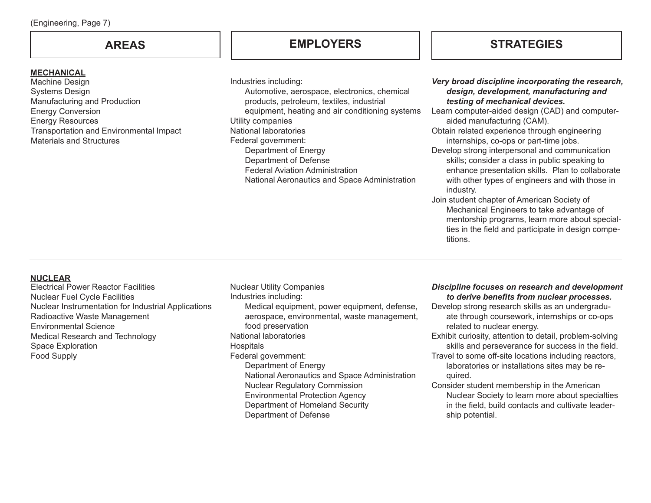### **MECHANICAL**

Machine Design Systems Design Manufacturing and Production Energy Conversion Energy Resources Transportation and Environmental Impact Materials and Structures

## **EMPLOYERS**

Industries including: Automotive, aerospace, electronics, chemical products, petroleum, textiles, industrial equipment, heating and air conditioning systems Utility companies National laboratories Federal government: Department of Energy Department of Defense Federal Aviation Administration National Aeronautics and Space Administration

## **AREAS STRATEGIES**

### *Very broad discipline incorporating the research, design, development, manufacturing and testing of mechanical devices.*

Learn computer-aided design (CAD) and computeraided manufacturing (CAM).

Obtain related experience through engineering internships, co-ops or part-time jobs.

- Develop strong interpersonal and communication skills; consider a class in public speaking to enhance presentation skills. Plan to collaborate with other types of engineers and with those in industry.
- Join student chapter of American Society of Mechanical Engineers to take advantage of mentorship programs, learn more about specialties in the field and participate in design competitions.

### **NUCLEAR**

Electrical Power Reactor Facilities Nuclear Fuel Cycle Facilities Nuclear Instrumentation for Industrial Applications Radioactive Waste Management Environmental Science Medical Research and Technology Space Exploration Food Supply

Nuclear Utility Companies Industries including: Medical equipment, power equipment, defense, aerospace, environmental, waste management, food preservation National laboratories **Hospitals** Federal government: Department of Energy National Aeronautics and Space Administration Nuclear Regulatory Commission Environmental Protection Agency Department of Homeland Security Department of Defense

#### *Discipline focuses on research and development to derive benefits from nuclear processes.*

- Develop strong research skills as an undergraduate through coursework, internships or co-ops related to nuclear energy.
- Exhibit curiosity, attention to detail, problem-solving skills and perseverance for success in the field.
- Travel to some off-site locations including reactors, laboratories or installations sites may be required.
- Consider student membership in the American Nuclear Society to learn more about specialties in the field, build contacts and cultivate leadership potential.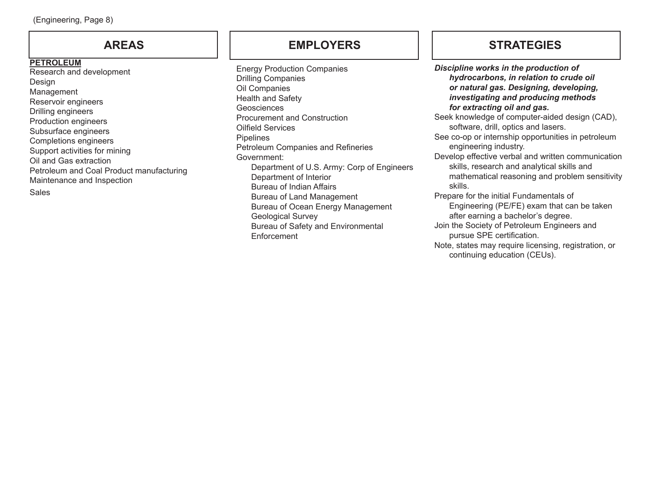Research and development Design Management Reservoir engineers Drilling engineers Production engineers Subsurface engineers Completions engineers Support activities for mining Oil and Gas extraction Petroleum and Coal Product manufacturing Maintenance and Inspection **Sales PETROLEUM**

## **AREAS EMPLOYERS STRATEGIES**

Energy Production Companies Drilling Companies Oil Companies Health and Safety **Geosciences** Procurement and Construction Oilfield Services Pipelines Petroleum Companies and Refineries Government: Department of U.S. Army: Corp of Engineers Department of Interior Bureau of Indian Affairs Bureau of Land Management Bureau of Ocean Energy Management Geological Survey Bureau of Safety and Environmental Enforcement

*Discipline works in the production of hydrocarbons, in relation to crude oil or natural gas. Designing, developing, investigating and producing methods for extracting oil and gas.* Seek knowledge of computer-aided design (CAD), software, drill, optics and lasers. See co-op or internship opportunities in petroleum engineering industry. Develop effective verbal and written communication skills, research and analytical skills and mathematical reasoning and problem sensitivity skills. Prepare for the initial Fundamentals of Engineering (PE/FE) exam that can be taken after earning a bachelor's degree. Join the Society of Petroleum Engineers and pursue SPE certification. Note, states may require licensing, registration, or

continuing education (CEUs).